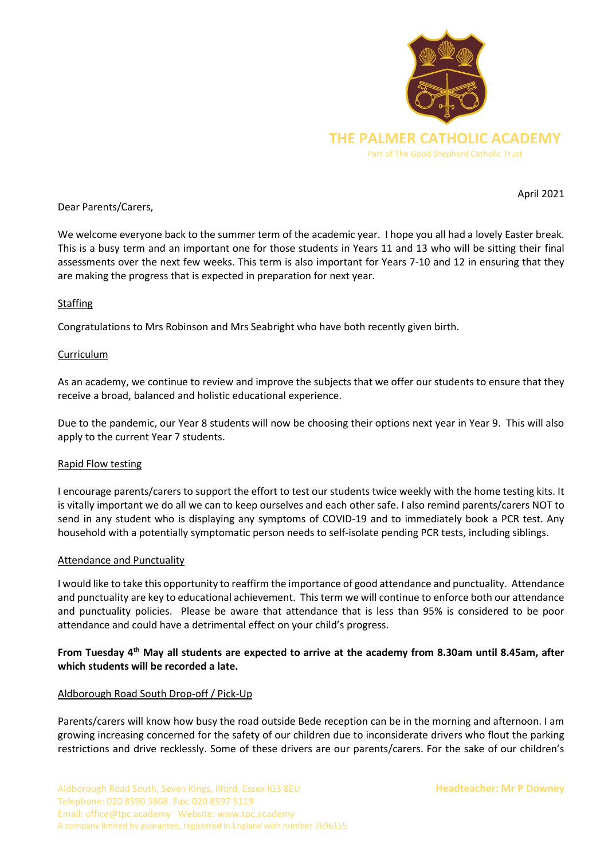

April 2021

Dear Parents/Carers,

We welcome everyone back to the summer term of the academic year. I hope you all had a lovely Easter break. This is a busy term and an important one for those students in Years 11 and 13 who will be sitting their final assessments over the next few weeks. This term is also important for Years 7-10 and 12 in ensuring that they are making the progress that is expected in preparation for next year.

# Staffing

Congratulations to Mrs Robinson and Mrs Seabright who have both recently given birth.

# Curriculum

As an academy, we continue to review and improve the subjects that we offer our students to ensure that they receive a broad, balanced and holistic educational experience.

Due to the pandemic, our Year 8 students will now be choosing their options next year in Year 9. This will also apply to the current Year 7 students.

# Rapid Flow testing

I encourage parents/carers to support the effort to test our students twice weekly with the home testing kits. It is vitally important we do all we can to keep ourselves and each other safe. I also remind parents/carers NOT to send in any student who is displaying any symptoms of COVID-19 and to immediately book a PCR test. Any household with a potentially symptomatic person needs to self-isolate pending PCR tests, including siblings.

# Attendance and Punctuality

I would like to take this opportunity to reaffirm the importance of good attendance and punctuality. Attendance and punctuality are key to educational achievement. This term we will continue to enforce both our attendance and punctuality policies. Please be aware that attendance that is less than 95% is considered to be poor attendance and could have a detrimental effect on your child's progress.

# **From Tuesday 4th May all students are expected to arrive at the academy from 8.30am until 8.45am, after which students will be recorded a late.**

# Aldborough Road South Drop-off / Pick-Up

Parents/carers will know how busy the road outside Bede reception can be in the morning and afternoon. I am growing increasing concerned for the safety of our children due to inconsiderate drivers who flout the parking restrictions and drive recklessly. Some of these drivers are our parents/carers. For the sake of our children's